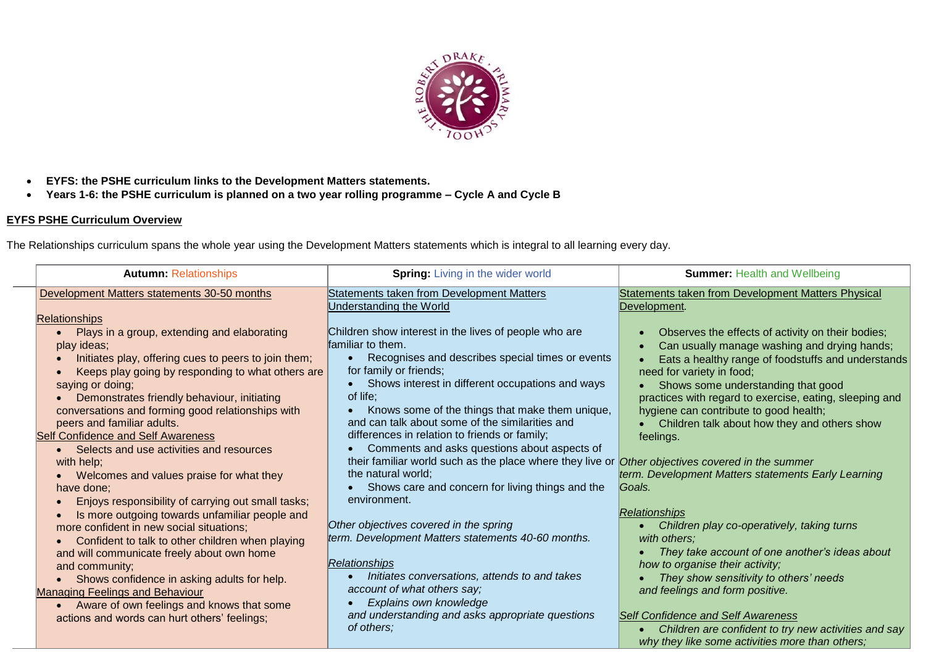

- **EYFS: the PSHE curriculum links to the Development Matters statements.**
- **Years 1-6: the PSHE curriculum is planned on a two year rolling programme – Cycle A and Cycle B**

## **EYFS PSHE Curriculum Overview**

The Relationships curriculum spans the whole year using the Development Matters statements which is integral to all learning every day.

| <b>Autumn: Relationships</b>                         | <b>Spring:</b> Living in the wider world                      | <b>Summer: Health and Wellbeing</b>                     |
|------------------------------------------------------|---------------------------------------------------------------|---------------------------------------------------------|
| Development Matters statements 30-50 months          | Statements taken from Development Matters                     | Statements taken from Development Matters Physical      |
|                                                      | Understanding the World                                       | Development.                                            |
| <b>Relationships</b>                                 |                                                               |                                                         |
| • Plays in a group, extending and elaborating        | Children show interest in the lives of people who are         | Observes the effects of activity on their bodies;       |
| play ideas;                                          | familiar to them.                                             | Can usually manage washing and drying hands;            |
| Initiates play, offering cues to peers to join them; | Recognises and describes special times or events<br>$\bullet$ | Eats a healthy range of foodstuffs and understands      |
| Keeps play going by responding to what others are    | for family or friends;                                        | need for variety in food;                               |
| saying or doing;                                     | Shows interest in different occupations and ways<br>$\bullet$ | Shows some understanding that good                      |
| Demonstrates friendly behaviour, initiating          | of life;                                                      | practices with regard to exercise, eating, sleeping and |
| conversations and forming good relationships with    | Knows some of the things that make them unique,<br>$\bullet$  | hygiene can contribute to good health;                  |
| peers and familiar adults.                           | and can talk about some of the similarities and               | • Children talk about how they and others show          |
| <b>Self Confidence and Self Awareness</b>            | differences in relation to friends or family;                 | feelings.                                               |
| • Selects and use activities and resources           | Comments and asks questions about aspects of                  |                                                         |
| with help;                                           | their familiar world such as the place where they live or     | Other objectives covered in the summer                  |
| Welcomes and values praise for what they             | the natural world;                                            | term. Development Matters statements Early Learning     |
| have done;                                           | Shows care and concern for living things and the              | Goals.                                                  |
| Enjoys responsibility of carrying out small tasks;   | environment.                                                  |                                                         |
| Is more outgoing towards unfamiliar people and       |                                                               | Relationships                                           |
| more confident in new social situations;             | Other objectives covered in the spring                        | Children play co-operatively, taking turns              |
| Confident to talk to other children when playing     | term. Development Matters statements 40-60 months.            | with others;                                            |
| and will communicate freely about own home           |                                                               | They take account of one another's ideas about          |
| and community;                                       | Relationships                                                 | how to organise their activity;                         |
| • Shows confidence in asking adults for help.        | Initiates conversations, attends to and takes                 | They show sensitivity to others' needs                  |
| <b>Managing Feelings and Behaviour</b>               | account of what others say;                                   | and feelings and form positive.                         |
| • Aware of own feelings and knows that some          | Explains own knowledge                                        |                                                         |
| actions and words can hurt others' feelings;         | and understanding and asks appropriate questions              | <b>Self Confidence and Self Awareness</b>               |
|                                                      | of others;                                                    | Children are confident to try new activities and say    |
|                                                      |                                                               | why they like some activities more than others;         |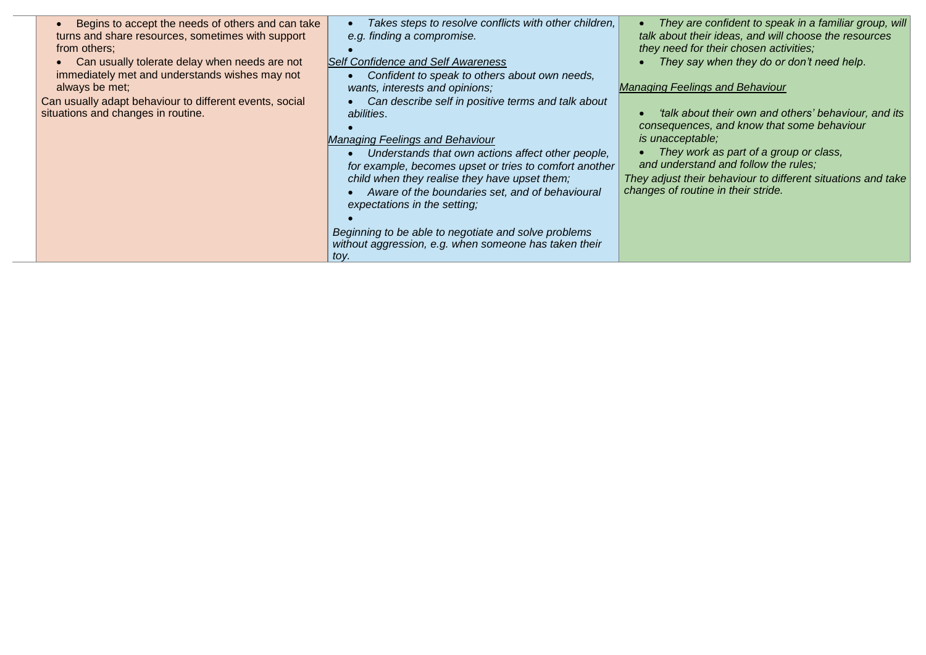| Begins to accept the needs of others and can take<br>turns and share resources, sometimes with support<br>from others:<br>Can usually tolerate delay when needs are not<br>immediately met and understands wishes may not<br>always be met;<br>Can usually adapt behaviour to different events, social<br>situations and changes in routine. | Takes steps to resolve conflicts with other children,<br>e.g. finding a compromise.<br>Self Confidence and Self Awareness<br>Confident to speak to others about own needs,<br>wants, interests and opinions;<br>Can describe self in positive terms and talk about<br><i>abilities.</i><br><b>Managing Feelings and Behaviour</b><br>Understands that own actions affect other people,<br>for example, becomes upset or tries to comfort another<br>child when they realise they have upset them;<br>Aware of the boundaries set, and of behavioural<br>expectations in the setting;<br>Beginning to be able to negotiate and solve problems<br>without aggression, e.g. when someone has taken their<br>toy. | They are confident to speak in a familiar group, will<br>talk about their ideas, and will choose the resources<br>they need for their chosen activities;<br>They say when they do or don't need help.<br><b>Managing Feelings and Behaviour</b><br>'talk about their own and others' behaviour, and its<br>consequences, and know that some behaviour<br><i>is unacceptable;</i><br>They work as part of a group or class,<br>and understand and follow the rules;<br>They adjust their behaviour to different situations and take<br>changes of routine in their stride. |
|----------------------------------------------------------------------------------------------------------------------------------------------------------------------------------------------------------------------------------------------------------------------------------------------------------------------------------------------|---------------------------------------------------------------------------------------------------------------------------------------------------------------------------------------------------------------------------------------------------------------------------------------------------------------------------------------------------------------------------------------------------------------------------------------------------------------------------------------------------------------------------------------------------------------------------------------------------------------------------------------------------------------------------------------------------------------|---------------------------------------------------------------------------------------------------------------------------------------------------------------------------------------------------------------------------------------------------------------------------------------------------------------------------------------------------------------------------------------------------------------------------------------------------------------------------------------------------------------------------------------------------------------------------|
|----------------------------------------------------------------------------------------------------------------------------------------------------------------------------------------------------------------------------------------------------------------------------------------------------------------------------------------------|---------------------------------------------------------------------------------------------------------------------------------------------------------------------------------------------------------------------------------------------------------------------------------------------------------------------------------------------------------------------------------------------------------------------------------------------------------------------------------------------------------------------------------------------------------------------------------------------------------------------------------------------------------------------------------------------------------------|---------------------------------------------------------------------------------------------------------------------------------------------------------------------------------------------------------------------------------------------------------------------------------------------------------------------------------------------------------------------------------------------------------------------------------------------------------------------------------------------------------------------------------------------------------------------------|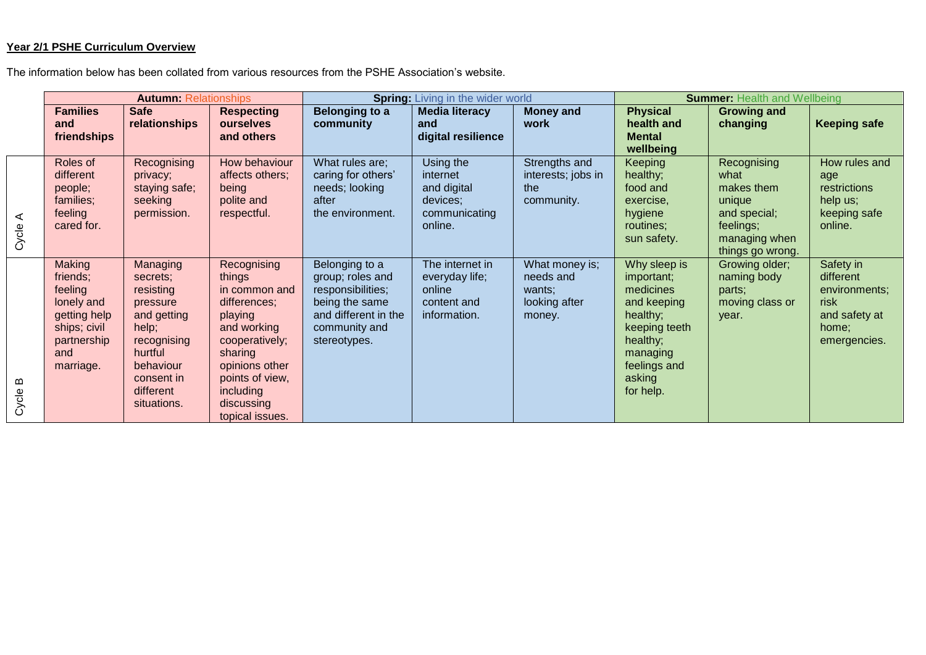## **Year 2/1 PSHE Curriculum Overview**

The information below has been collated from various resources from the PSHE Association's website.

|            | <b>Autumn: Relationships</b>                                                                                   |                                                                                                                                                        |                                                                                                                                                                                                  | <b>Spring:</b> Living in the wider world                                                                                           |                                                                              |                                                                  | <b>Summer: Health and Wellbeing</b>                                                                                                                |                                                                                                               |                                                                                           |
|------------|----------------------------------------------------------------------------------------------------------------|--------------------------------------------------------------------------------------------------------------------------------------------------------|--------------------------------------------------------------------------------------------------------------------------------------------------------------------------------------------------|------------------------------------------------------------------------------------------------------------------------------------|------------------------------------------------------------------------------|------------------------------------------------------------------|----------------------------------------------------------------------------------------------------------------------------------------------------|---------------------------------------------------------------------------------------------------------------|-------------------------------------------------------------------------------------------|
|            | <b>Families</b><br>and<br>friendships                                                                          | <b>Safe</b><br>relationships                                                                                                                           | <b>Respecting</b><br>ourselves<br>and others                                                                                                                                                     | <b>Belonging to a</b><br>community                                                                                                 | <b>Media literacy</b><br>and<br>digital resilience                           | <b>Money and</b><br>work                                         | <b>Physical</b><br>health and<br><b>Mental</b><br>wellbeing                                                                                        | <b>Growing and</b><br>changing                                                                                | <b>Keeping safe</b>                                                                       |
| ⋖<br>Cycle | Roles of<br>different<br>people;<br>families;<br>feeling<br>cared for.                                         | Recognising<br>privacy;<br>staying safe;<br>seeking<br>permission.                                                                                     | How behaviour<br>affects others;<br>being<br>polite and<br>respectful.                                                                                                                           | What rules are;<br>caring for others'<br>needs; looking<br>after<br>the environment.                                               | Using the<br>internet<br>and digital<br>devices;<br>communicating<br>online. | Strengths and<br>interests; jobs in<br>the<br>community.         | <b>Keeping</b><br>healthy;<br>food and<br>exercise,<br>hygiene<br>routines;<br>sun safety.                                                         | Recognising<br>what<br>makes them<br>unique<br>and special;<br>feelings;<br>managing when<br>things go wrong. | How rules and<br>age<br>restrictions<br>help us;<br>keeping safe<br>online.               |
| മ<br>Cycle | Making<br>friends;<br>feeling<br>lonely and<br>getting help<br>ships; civil<br>partnership<br>and<br>marriage. | Managing<br>secrets;<br>resisting<br>pressure<br>and getting<br>help;<br>recognising<br>hurtful<br>behaviour<br>consent in<br>different<br>situations. | Recognising<br>things<br>in common and<br>differences;<br>playing<br>and working<br>cooperatively;<br>sharing<br>opinions other<br>points of view,<br>including<br>discussing<br>topical issues. | Belonging to a<br>group; roles and<br>responsibilities;<br>being the same<br>and different in the<br>community and<br>stereotypes. | The internet in<br>everyday life;<br>online<br>content and<br>information.   | What money is;<br>needs and<br>wants:<br>looking after<br>money. | Why sleep is<br>important;<br>medicines<br>and keeping<br>healthy;<br>keeping teeth<br>healthy;<br>managing<br>feelings and<br>asking<br>for help. | Growing older;<br>naming body<br>parts;<br>moving class or<br>year.                                           | Safety in<br>different<br>environments;<br>risk<br>and safety at<br>home;<br>emergencies. |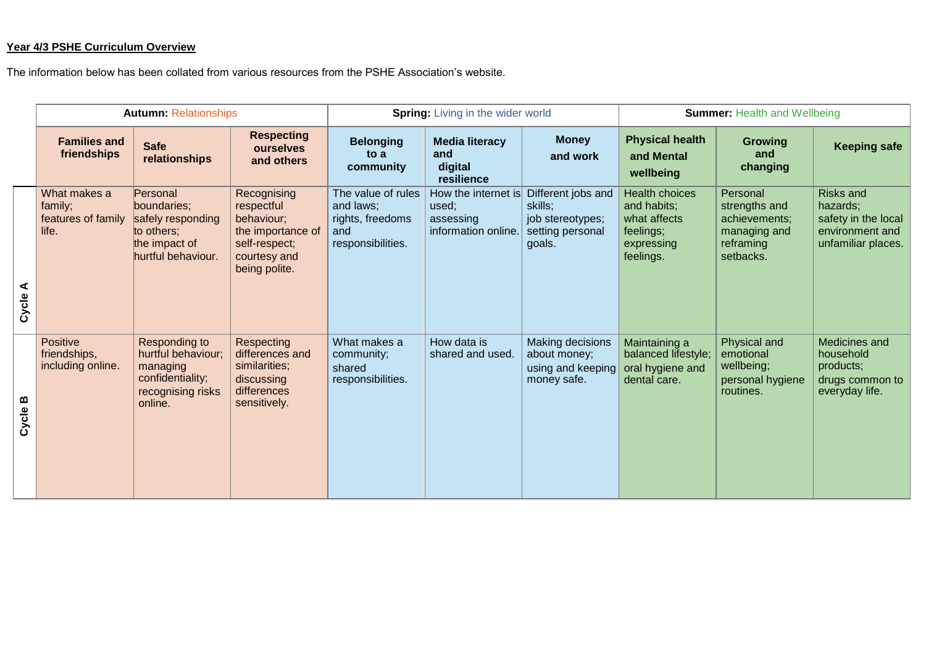## **Year 4/3 PSHE Curriculum Overview**

The information below has been collated from various resources from the PSHE Association's website.

|            | <b>Autumn: Relationships</b>                           |                                                                                                     |                                                                                                                | <b>Spring:</b> Living in the wider world                                        |                                                                  |                                                                                 | <b>Summer: Health and Wellbeing</b>                                                          |                                                                                      |                                                                                              |
|------------|--------------------------------------------------------|-----------------------------------------------------------------------------------------------------|----------------------------------------------------------------------------------------------------------------|---------------------------------------------------------------------------------|------------------------------------------------------------------|---------------------------------------------------------------------------------|----------------------------------------------------------------------------------------------|--------------------------------------------------------------------------------------|----------------------------------------------------------------------------------------------|
|            | <b>Families and</b><br>friendships                     | <b>Safe</b><br>relationships                                                                        | <b>Respecting</b><br>ourselves<br>and others                                                                   | <b>Belonging</b><br>to a<br>community                                           | <b>Media literacy</b><br>and<br>digital<br>resilience            | <b>Money</b><br>and work                                                        | <b>Physical health</b><br>and Mental<br>wellbeing                                            | <b>Growing</b><br>and<br>changing                                                    | <b>Keeping safe</b>                                                                          |
| ⋖<br>Cycle | What makes a<br>family;<br>features of family<br>life. | Personal<br>boundaries;<br>safely responding<br>to others;<br>the impact of<br>hurtful behaviour.   | Recognising<br>respectful<br>behaviour;<br>the importance of<br>self-respect;<br>courtesy and<br>being polite. | The value of rules<br>and laws;<br>rights, freedoms<br>and<br>responsibilities. | How the internet is<br>used;<br>assessing<br>information online. | Different jobs and<br>skills:<br>job stereotypes;<br>setting personal<br>goals. | <b>Health choices</b><br>and habits;<br>what affects<br>feelings;<br>expressing<br>feelings. | Personal<br>strengths and<br>achievements;<br>managing and<br>reframing<br>setbacks. | <b>Risks and</b><br>hazards;<br>safety in the local<br>environment and<br>unfamiliar places. |
| Cycle B    | <b>Positive</b><br>friendships,<br>including online.   | Responding to<br>hurtful behaviour;<br>managing<br>confidentiality;<br>recognising risks<br>online. | Respecting<br>differences and<br>similarities;<br>discussing<br>differences<br>sensitively.                    | What makes a<br>community;<br>shared<br>responsibilities.                       | How data is<br>shared and used.                                  | Making decisions<br>about money;<br>using and keeping<br>money safe.            | Maintaining a<br>balanced lifestyle;<br>oral hygiene and<br>dental care.                     | Physical and<br>emotional<br>wellbeing;<br>personal hygiene<br>routines.             | Medicines and<br>household<br>products;<br>drugs common to<br>everyday life.                 |